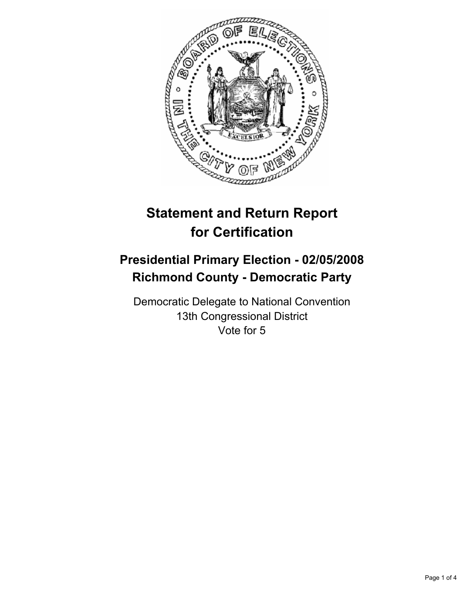

# **Statement and Return Report for Certification**

## **Presidential Primary Election - 02/05/2008 Richmond County - Democratic Party**

Democratic Delegate to National Convention 13th Congressional District Vote for 5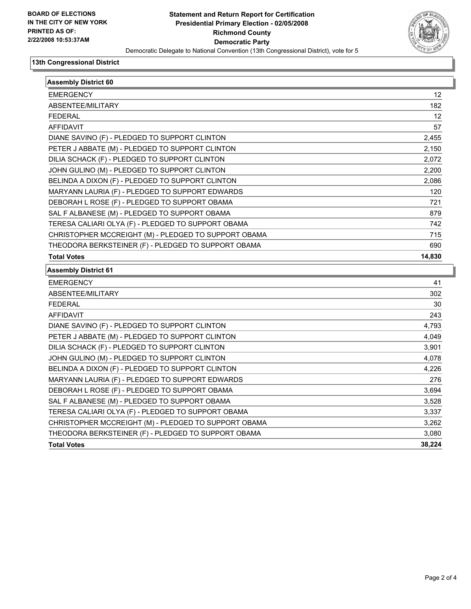

#### **13th Congressional District**

| <b>Assembly District 60</b>                          |        |
|------------------------------------------------------|--------|
| <b>EMERGENCY</b>                                     | 12     |
| ABSENTEE/MILITARY                                    | 182    |
| <b>FEDERAL</b>                                       | 12     |
| <b>AFFIDAVIT</b>                                     | 57     |
| DIANE SAVINO (F) - PLEDGED TO SUPPORT CLINTON        | 2,455  |
| PETER J ABBATE (M) - PLEDGED TO SUPPORT CLINTON      | 2,150  |
| DILIA SCHACK (F) - PLEDGED TO SUPPORT CLINTON        | 2,072  |
| JOHN GULINO (M) - PLEDGED TO SUPPORT CLINTON         | 2,200  |
| BELINDA A DIXON (F) - PLEDGED TO SUPPORT CLINTON     | 2,086  |
| MARYANN LAURIA (F) - PLEDGED TO SUPPORT EDWARDS      | 120    |
| DEBORAH L ROSE (F) - PLEDGED TO SUPPORT OBAMA        | 721    |
| SAL F ALBANESE (M) - PLEDGED TO SUPPORT OBAMA        | 879    |
| TERESA CALIARI OLYA (F) - PLEDGED TO SUPPORT OBAMA   | 742    |
| CHRISTOPHER MCCREIGHT (M) - PLEDGED TO SUPPORT OBAMA | 715    |
| THEODORA BERKSTEINER (F) - PLEDGED TO SUPPORT OBAMA  | 690    |
| <b>Total Votes</b>                                   | 14,830 |
| <b>Assembly District 61</b>                          |        |
| <b>EMERGENCY</b>                                     | 41     |
| ABSENTEE/MILITARY                                    | 302    |
| <b>FEDERAL</b>                                       | 30     |
| <b>AFFIDAVIT</b>                                     | 243    |
| DIANE SAVINO (F) - PLEDGED TO SUPPORT CLINTON        | 4,793  |
| PETER J ABBATE (M) - PLEDGED TO SUPPORT CLINTON      | 4,049  |
| DILIA SCHACK (F) - PLEDGED TO SUPPORT CLINTON        | 3,901  |
| JOHN GULINO (M) - PLEDGED TO SUPPORT CLINTON         | 4,078  |
| BELINDA A DIXON (F) - PLEDGED TO SUPPORT CLINTON     | 4,226  |
| MARYANN LAURIA (F) - PLEDGED TO SUPPORT EDWARDS      | 276    |
| DEBORAH L ROSE (F) - PLEDGED TO SUPPORT OBAMA        | 3,694  |
| SAL F ALBANESE (M) - PLEDGED TO SUPPORT OBAMA        | 3,528  |
| TERESA CALIARI OLYA (F) - PLEDGED TO SUPPORT OBAMA   | 3,337  |
| CHRISTOPHER MCCREIGHT (M) - PLEDGED TO SUPPORT OBAMA | 3,262  |
| THEODORA BERKSTEINER (F) - PLEDGED TO SUPPORT OBAMA  | 3,080  |
| <b>Total Votes</b>                                   | 38.224 |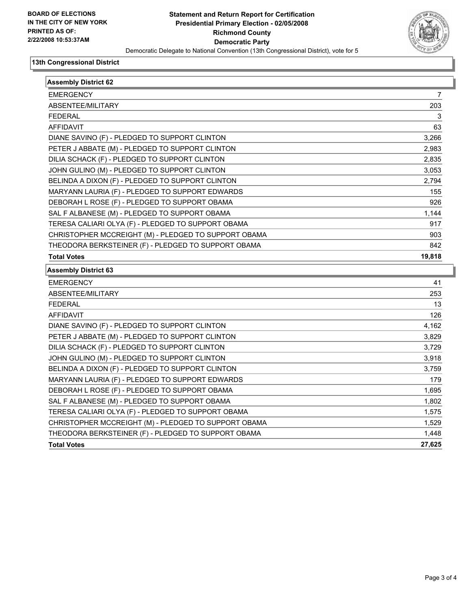

#### **13th Congressional District**

| <b>EMERGENCY</b>                                                                                      | 7                                                                                                                       |
|-------------------------------------------------------------------------------------------------------|-------------------------------------------------------------------------------------------------------------------------|
| ABSENTEE/MILITARY                                                                                     | 203                                                                                                                     |
| <b>FEDERAL</b>                                                                                        | 3                                                                                                                       |
| <b>AFFIDAVIT</b>                                                                                      | 63                                                                                                                      |
| DIANE SAVINO (F) - PLEDGED TO SUPPORT CLINTON                                                         | 3,266                                                                                                                   |
| PETER J ABBATE (M) - PLEDGED TO SUPPORT CLINTON                                                       | 2,983                                                                                                                   |
| DILIA SCHACK (F) - PLEDGED TO SUPPORT CLINTON                                                         | 2,835                                                                                                                   |
| JOHN GULINO (M) - PLEDGED TO SUPPORT CLINTON                                                          | 3,053                                                                                                                   |
| BELINDA A DIXON (F) - PLEDGED TO SUPPORT CLINTON                                                      | 2,794                                                                                                                   |
| MARYANN LAURIA (F) - PLEDGED TO SUPPORT EDWARDS                                                       | 155                                                                                                                     |
| DEBORAH L ROSE (F) - PLEDGED TO SUPPORT OBAMA                                                         | 926                                                                                                                     |
| SAL F ALBANESE (M) - PLEDGED TO SUPPORT OBAMA                                                         | 1,144                                                                                                                   |
| TERESA CALIARI OLYA (F) - PLEDGED TO SUPPORT OBAMA                                                    | 917                                                                                                                     |
| CHRISTOPHER MCCREIGHT (M) - PLEDGED TO SUPPORT OBAMA                                                  | 903                                                                                                                     |
| THEODORA BERKSTEINER (F) - PLEDGED TO SUPPORT OBAMA                                                   | 842                                                                                                                     |
| <b>Total Votes</b>                                                                                    | 19,818                                                                                                                  |
|                                                                                                       |                                                                                                                         |
|                                                                                                       |                                                                                                                         |
| <b>EMERGENCY</b>                                                                                      |                                                                                                                         |
| ABSENTEE/MILITARY                                                                                     |                                                                                                                         |
|                                                                                                       |                                                                                                                         |
| <b>FEDERAL</b><br><b>AFFIDAVIT</b>                                                                    |                                                                                                                         |
| <b>Assembly District 63</b><br>DIANE SAVINO (F) - PLEDGED TO SUPPORT CLINTON                          |                                                                                                                         |
| PETER J ABBATE (M) - PLEDGED TO SUPPORT CLINTON                                                       |                                                                                                                         |
| DILIA SCHACK (F) - PLEDGED TO SUPPORT CLINTON                                                         |                                                                                                                         |
| JOHN GULINO (M) - PLEDGED TO SUPPORT CLINTON                                                          |                                                                                                                         |
| BELINDA A DIXON (F) - PLEDGED TO SUPPORT CLINTON                                                      |                                                                                                                         |
|                                                                                                       |                                                                                                                         |
| MARYANN LAURIA (F) - PLEDGED TO SUPPORT EDWARDS<br>DEBORAH L ROSE (F) - PLEDGED TO SUPPORT OBAMA      |                                                                                                                         |
|                                                                                                       |                                                                                                                         |
| TERESA CALIARI OLYA (F) - PLEDGED TO SUPPORT OBAMA                                                    |                                                                                                                         |
| SAL F ALBANESE (M) - PLEDGED TO SUPPORT OBAMA<br>CHRISTOPHER MCCREIGHT (M) - PLEDGED TO SUPPORT OBAMA |                                                                                                                         |
| THEODORA BERKSTEINER (F) - PLEDGED TO SUPPORT OBAMA                                                   | 41<br>253<br>13<br>126<br>4,162<br>3,829<br>3,729<br>3,918<br>3,759<br>179<br>1,695<br>1,802<br>1,575<br>1,529<br>1,448 |